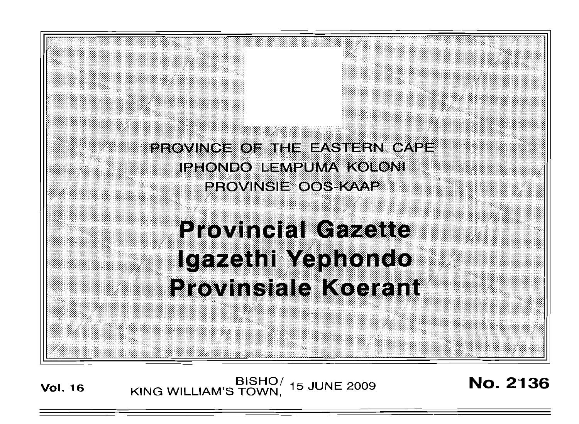PROVINGE OF THE EASTERN CAPE **IPHONDO LEMPUMA KOLONI** PROVINSIE OOS KAAP

# **Provincial Gazette** Igazethi Yephondo **Provinsiale Koerant**

**Vol. 16 KING WILLIAM'S TOWN,** 15 JUNE 2009 **No. 2136**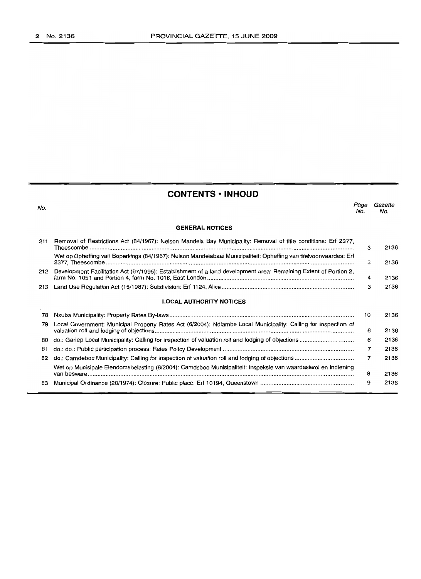# **CONTENTS • INHOUD**

| No. |                                                                                                                   | Page<br>No.    | Gazette<br>No. |
|-----|-------------------------------------------------------------------------------------------------------------------|----------------|----------------|
|     | <b>GENERAL NOTICES</b>                                                                                            |                |                |
| 211 | Removal of Restrictions Act (84/1967): Nelson Mandela Bay Municipality: Removal of title conditions: Erf 2377,    | з              | 2136           |
|     | Wet op Opheffing van Beperkings (84/1967): Nelson Mandelabaai Munisipaliteit: Opheffing van titelvoorwaardes: Erf | з              | 2136           |
| 212 | Development Facilitation Act (67/1995): Establishment of a land development area: Remaining Extent of Portion 2,  | 4              | 2136           |
| 213 |                                                                                                                   | 3              | 2136           |
|     | <b>LOCAL AUTHORITY NOTICES</b>                                                                                    |                |                |
| 78  |                                                                                                                   | 10             | 2136           |
| 79  | Local Government: Municipal Property Rates Act (6/2004): Ndlambe Local Municipality: Calling for inspection of    | 6              | 2136           |
| 80  |                                                                                                                   | 6              | 2136           |
| 81  |                                                                                                                   | $\overline{7}$ | 2136           |
| 82  |                                                                                                                   | 7              | 2136           |
|     | Wet op Munisipale Eiendomsbelasting (6/2004): Camdeboo Munisipaliteit: Inspeksie van waardasierol en indiening    | 8              | 2136           |
| 83  |                                                                                                                   | 9              | 2136           |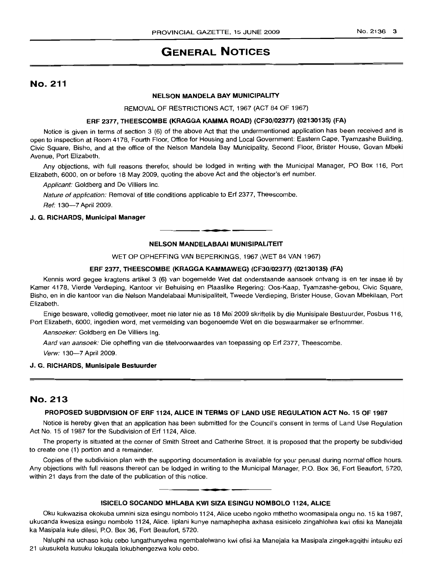# **GENERAL NOTICES**

# No. 211

# **NELSON MANDELA BAY MUNICIPALITY**

REMOVAL OF RESTRICTIONS ACT, 1967 (ACT 84 OF 1967)

#### **ERF 2377, THEESCOMBE (KRAGGA KAMMA ROAD) (CF30/02377) (02130135) (FA)**

Notice is given in terms of section 3 (6) of the above Act that the undermentioned application has been received and is open to inspection at Room 4178, Fourth Floor, Office for Housing and Local Government: Eastern Cape, Tyamzashe Building, Civic Square, Bisho, and at the office of the Nelson Mandela Bay Municipality, Second Floor, Brister House, Govan Mbeki Avenue, Port Elizabeth.

Any objections, with full reasons therefor, should be lodged in writing with the Municipal Manager, PO Box 116, Port Elizabeth, 6000, on or before 18 May 2009, quoting the above Act and the objector's erf number.

Applicant: Goldberg and De Villiers Inc.

Nature of application: Removal of title conditions applicable to Erf 2377, Theescombe.

Ref: 13G-7 April 2009.

#### **J. G. RICHARDS, Municipal Manager**

#### **NELSON MANDELABAAI MUNISIPALITEIT**

**-.**

#### WET OP OPHEFFING VAN BEPERKINGS, 1967 (WET 84 VAN 1967)

#### **ERF 2377, THEESCOMBE (KRAGGA KAMMAWEG) (CF30/02377) (02130135) (FA)**

Kennis word gegee kragtens artikel 3 (6) van bogemelde Wet dat onderstaande aansoek ontvang is en ter insae Ie by Kamer 4178, Vierde Verdieping, Kantoor vir Behuising en Plaaslike Regering: Oos-Kaap, Tyamzashe-gebou, Civic Square, Bisho, en in die kantoor van die Nelson Mandelabaai Munisipaliteit, Tweede Verdieping, Brister House, Govan Mbekilaan, Port Elizabeth.

Enige besware, volledig gemotiveer, moet nie later nie as 18 Mei 2009 skriftelik by die Munisipale Bestuurder, Posbus 116, Port Elizabeth, 6000, ingedien word, met vermelding van bogenoemde Wet en die beswaarmaker se erfnommer.

Aansoeker: Goldberg en De Villiers Ing.

Aard van aansoek: Die opheffing van die titelvoorwaardes van toepassing op Erf 2377, Theescombe.

Verw: 130-7 April 2009.

#### **J. G. RICHARDS, Munisipale Bestuurder**

# No. 213

#### **PROPOSED SUBDIVISION OF ERF 1124, ALICE IN TERMS OF LAND USE REGULATION ACT No. 15 OF 1987**

Notice is hereby given that an application has been submitted for the Council's consent in terms of Land Use Regulation Act No. 15 of 1987 for the Subdivision of Erf 1124, Alice.

The property is situated at the corner of Smith Street and Catherine Street. It is proposed that the property be subdivided to create one (1) portion and a remainder.

Copies of the subdivision plan with the supporting documentation is available for your perusal during normal office hours. Any objections with full reasons thereof can be lodged in writing to the Municipal Manager, P.O. Box 36, Fort Beaufort, 5720, within 21 days from the date of the publication of this notice.

# **• ISICELO SOCANDO MHLABA KWI SIZA ESINGU NOMBOLO 1124, ALICE**

Oku kukwazisa okokuba umnini siza esingu nombolo 1124, Alice ucebo ngoko mthetho woomasipala ongu no. 15 ka 1987, ukucanda kwesiza esingu nombolo 1124, Alice. liplani kunye namaphepha axhasa esisicelo zingahlolwa kwi ofisi ka Manejala ka Masipala kule dilesi, P.O. Box 36, Fort Beaufort, 5720.

Naluphi na uchaso kolu cebo lungathunyelwa ngembalelwano kwi ofisi ka Manejala ka Masipala zingekagqithi intsuku ezi 21 ukusukela kusuku lokuqala lokubhengezwa kolu cebo.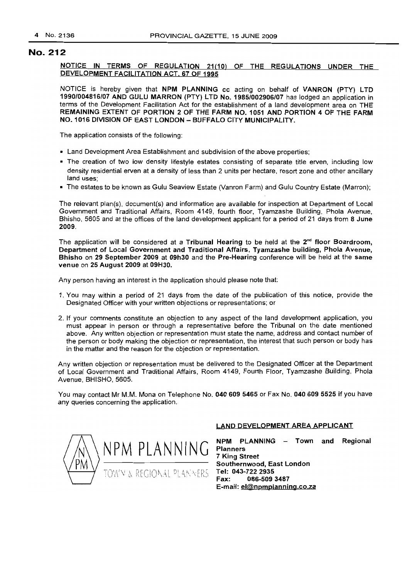# No. 212

NOTICE IN TERMS OF REGULATION 21(10) OF THE REGULATIONS UNDER THE DEVELOPMENT FACILITATION ACT, 67 OF 1995

NOTICE is hereby given that NPM PLANNING cc acting on behalf of VANRON (PTY) LTD 1990/004816/07 AND GULU MARRON (PTY) LTD No. 1985/002906/07 has lodged an application in terms of the Development Facilitation Act for the establishment of a land development area on THE REMAINING EXTENT OF PORTION 2 OF THE FARM NO. 1051 AND PORTION 4 OF THE FARM NO. 1016 DIVISION OF EAST LONDON - BUFFALO CITY MUNICIPALITY.

The application consists of the following:

- Land Development Area Establishment and subdivision of the above properties;
- The creation of two low density lifestyle estates consisting of separate title erven, including low density residential erven at a density of less than 2 units per hectare, resort zone and other ancillary land uses;
- The estates to be known as Gulu Seaview Estate (Vanron Farm) and Gulu Country Estate (Marron);

The relevant plan(s), document(s) and information are available for inspection at Department of Local Government and Traditional Affairs, Room 4149, fourth floor, Tyamzashe Building, Phola Avenue, Bhisho, 5605 and at the offices of the land development applicant for a period of 21 days from 8 June 2009.

The application will be considered at a Tribunal Hearing to be held at the  $2<sup>nd</sup>$  floor Boardroom, Department of Local Government and Traditional Affairs, Tyamzashe building, Phola Avenue, Bhisho on 29 September 2009 at 09h30 and the Pre-Hearing conference will be held at the same venue on 25 August 2009 at 09H30.

Any person having an interest in the application should please note that:

- 1. You may within a period of 21 days from the date of the publication of this notice, provide the Designated Officer with your written objections or representations; or
- 2. If your comments constitute an objection to any aspect of the land development application, you must appear in person or through a representative before the Tribunal on the date mentioned above. Any written objection or representation must state the name, address and contact number of the person or body making the objection or representation, the interest that such person or body has in the matter and the reason for the objection or representation.

Any written objection or representation must be delivered to the Designated Officer at the Department of Local Government and Traditional Affairs, Room 4149, Fourth Floor, Tyamzashe Building, Phola Avenue, BHISHO, 5605.

You may contact Mr M.M. Mona on Telephone No. 040 609 5465 or Fax No. 040 609 5525 if you have any queries concerning the application.



#### LAND DEVELOPMENT AREA APPLICANT

 $NPM$   $PLANNING$   $NPM$   $PLANNING$   $NPM$   $PLANNING$   $NOM$   $NPM$ Planners 7 King Street Southernwood, East London Tel: 043-722 2935 Fax: 086-5093487 E-mail: el@npmplanning.co.za NPM PLANNING - Town and Regional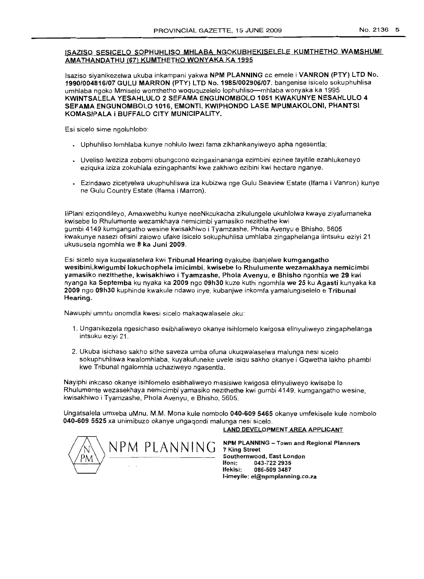# rSAZISO SESICELO SOPHUHLlSO MHLABA NGOKUBHEKISELELE KUMTHETHO WAMSHUMI AMATHANOATHU (67) KUMTHETHO WONYAKA KA 1995

lsaziso siyanikezelwa ukuba inkampani yakwa NPM PLANNING cc emele i VANRON (PTY) LTO No. 1990/004816/07 GULU MARRON (PTY) LTO No. 1985/002906/07. bangenise isicelo sokuphuhlisa umhlaba ngoko Mmiselo womthetho woququzelelo lophuhliso-mhlaba wonyaka ka 1995 KWINTSALELA YESAHLULO 2 SEFAMA ENGUNOMBOLO 1051 KWAKUNYE NESAHLLlLO 4 SEFAMA ENGUNOMBOLO 1016, EMONT1, KW1PHONOO LASE MPUMAKOLON1, PHANTSI KOMASIPALA i BUFFALO CITY MUNICIPALITY.

Esi sicelo sime ngoluhlobo:

- Uphuhliso lomhlaba kunye nohlulo Iwezi fama zikhankanyiweyo apha ngesentla;
- Uveliso lweziza zobomi obungcono ezingaxinananga ezimbini ezinee tayitile ezahlukeneyo eziquka iziza zokuhlala ezingaphantsi kwe zakhiwo ezibini kwi hectare nganye.
- Ezindawo zicetyelwa ukuphuhliswa iza kubizwa nge Gulu Seaview Estate (Ifama i Vanron) kunye ne Gulu Country Estate (Ifama i Marron).

liPlani eziqondileyo, Amaxwebhu kunye neeNkcukacha zikulungele ukuhlolwa kwaye ziyafumaneka kwisebe 10 Rhulumente wezamkhaya nemicimbi yamasiko nezithethe kwi gumbi 4149 kumgangatho wesine kwisakhiwo i Tyamzashe, Phola Avenyu e Bhisho, 5605 kwakunye nasezi ofisini zalowo ufake isicelo sokuphuhlisa umhlaba zingaphelanga iintsuku eziyi 21 ukususela ngomhla we 8 ka Juni 2009.

Esi sicelo siya kuqwalaselwa kwi Tribunal Hearing eyakube ibanjelwe kumgangatho wesibini,kwigumbi lokuchophela imicimbi, kwisebe 10Rhulumente wezamakhaya nemicimbi yamasiko nezithethe, kwisakhiwo i Tyamzashe, Phola Avenyu, e Bhisho ngonhla we 29 kwi nyanga ka Septemba ku nyaka ka 2009 ngo 09h30 kuze kuthi ngomhla we 25 ku Agasti kunyaka ka 2009 ngo 09h30 kuphinde kwakule ndawo inye, kubanjwe inkomfa yamalungiselelo e Tribunal Hearing.

Nawuphi umntu onomdla kwesi sicelo makaqwalasele oku:

- 1. Unganikezela ngesichaso esibhaliweyo okanye isihlomelo kwigosa elinyuliweyo zingaphelanga intsuku eziyi 21.
- 2. Ukuba isichaso sakho sithe saveza umba ofuna ukuqwalaselwa malunga nesi sicelo sokuphuhliswa kwalomhlaba, kuyakufuneke uvele isiqu sakho okanye i Gqwetha lakho phambi kwe Tribunal ngalomhla uchaziweyo ngasentla.

Nayiphi inkcaso okanye isihlomelo esibhaliweyo masisiwe kwigosa elinyuliweyo kwisebe 10 Rhulumente wezasekhaya nemicimbi yamasiko nezithethe kwi gumbi 4149, kumgangatho wesine, kwisakhiwo i Tyamzashe, Phola Avenyu, e Bhisho, 5605.

Ungatsalela umxeba uMnu. M.M. Mona kule nombolo 040-609 5465 okanye umfekisele kule nombolo 040-609 5525 xa unimibuzo okanye ungaqondi malunga nesi sicelo.

#### LAND DEVELOPMENT AREA APPLICANT



NPM PLANNING - Town and Regional Planners 7 King Street Southernwood, East London<br>Ifoni: 043-722.2935 Ifoni: 043-722 2935 086-509 3487 I-imeyile: el@npmplanning.co.za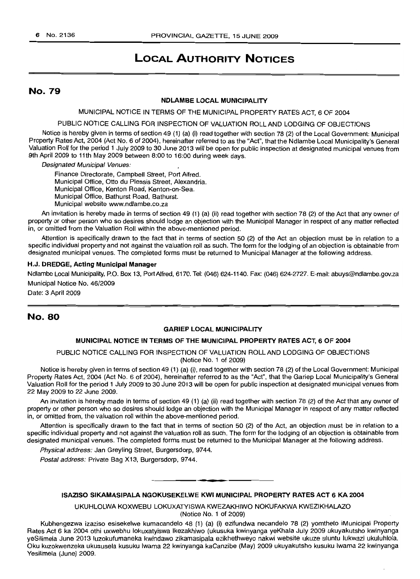# **LOCAL AUTHORITY NOTICES**

# No. 79

#### **NDLAMBE LOCAL MUNICIPALITY**

MUNICIPAL NOTICE IN TERMS OF THE MUNICIPAL PROPERTY RATES ACT, 6 OF 2004

PUBLIC NOTICE CALLING FOR INSPECTION OF VALUATION ROLL AND LODGING OF OBJECTIONS

Notice is hereby given in terms of section 49 (1) (a) (i) read together with section 78 (2) of the Local Government: Municipal Property Rates Act, 2004 (Act No.6 of 2004), hereinafter referred to as the "Act", that the Ndlambe Local Municipality's General Valuation Roll for the period 1 JUly 2009 to 30 June 2013 will be open for public inspection at designated municipal venues from 9th April 2009 to 11th May 2009 between 8:00 to 16:00 during week days.

Designated Municipal Venues:

Finance Directorate, Campbell Street, Port Alfred. Municipal Office, Otto du Plessis Street, Alexandria. Municipal Office, Kenton Road, Kenton-on-Sea. Municipal Office, Bathurst Road, Bathurst. Municipal website www.ndlambe.co.za

An invitation is hereby made in terms of section 49 (1) (a) (ii) read together with section 78 (2) of the Act that any owner of property or other person who so desires should lodge an Objection with the Municipal Manager in respect of any matter reflected in, or omitted from the Valuation Roll within the above-mentioned period.

Attention is specifically drawn to the fact that in terms of section 50 (2) of the Act an objection must be in relation to a specific individual property and not against the valuation roll as such. The form for the lodging of an objection is obtainable from designated municipal venues. The completed forms must be returned to Municipal Manager at the following address.

#### **H.J. DREDGE, Acting Municipal Manager**

Ndlambe Local Municipality, P.O. Box 13, PortAlfred, 6170. Tel: (046) 624-1140. Fax: (046) 624-2727. E-mail: abuys@ndlambe.gov.za Municipal Notice No. 46/2009

Date: 3 April 2009

# No. 80

#### **GARIEP LOCAL MUNICIPALITY**

#### **MUNICIPAL NOTICE IN TERMS OF THE MUNICIPAL PROPERTY RATES ACT, 6 OF 2004**

PUBLIC NOTICE CALLING FOR INSPECTION OF VALUATION ROLLAND LODGING OF OBJECTIONS (Notice No. 1 of 2009)

Notice is hereby given in terms of section 49 (1) (a) (i), read together with section 78 (2) of the Local Government: Municipal Property Rates Act, 2004 (Act No. 6 of 2004), hereinafter referred to as the "Act", that the Gariep Local Municipality's General Valuation Roll for the period 1 July 2009 to 30 June 2013 will be open for public inspection at designated municipal venues from 22 May 2009 to 22 June 2009.

An invitation is hereby made in terms of section 49 (1) (a) (ii) read together with section 78 (2) of the Act that any owner of property or other person who so desires should lodge an objection with the Municipal Manager in respect of any matter reflected in, or omitted from, the valuation roll within the above-mentioned period.

Attention is specifically drawn to the fact that in terms of section 50 (2) of the Act, an objection must be in relation to a specific individual property and not against the valuation roll as such. The form for the lodging of an objection is obtainable from designated municipal venues. The completed forms must be returned to the Municipal Manager at the following address.

Physical address: Jan Greyling Street, Burgersdorp, 9744.

Postal address: Private Bag X13, Burgersdorp, 9744.

#### **ISAZISO SIKAMASIPALA NGOKUSEKELWE KWI MUNICIPAL PROPERTY RATES ACT 6 KA 2004**

**• •**

UKUHLOLWA KOXWEBU LOKUXATYISWA KWEZAKHIWO NOKUFAKWA KWEZIKHALAZO

(Notice No. 1 of 2009)

Kubhengezwa izaziso esisekelwe kumacandelo 48 (1) (a) (i) ezifundwa necandelo 78 (2) yomtheto iMunicipal Property Rates Act 6 ka 2004 othi uxwebhu lokuxatyiswa Ikezakhiwo (ukusuka kwinyanga yeKhala July 2009 ukuyakutsho kwinyanga yeSilimela June 2013 luzokufumaneka kwindawo zikamasipala ezikhethweyo nakwi website ukuze uluntu lukwazi ukuluhlola. Oku kuzokwenzeka ukususela kusuku Iwama 22 kWinyanga kaCanzibe (May) 2009 ukuyakutsho kusuku Iwama 22 kwinyanga Yesilimela (June) 2009.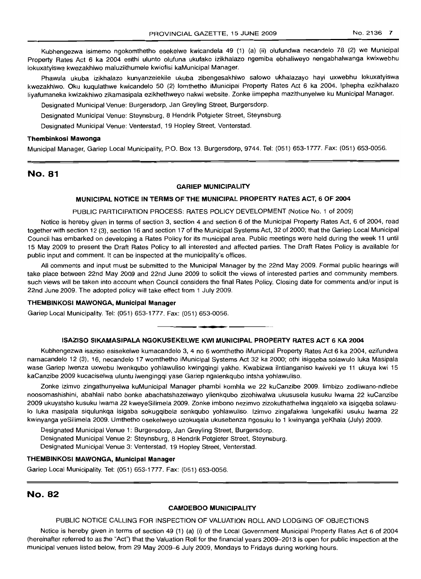Kubhengezwa isimemo ngokomthetho esekelwe kwicandela 49 (1) (a) (ii) olufundwa necandelo 78 (2) we Municipal Property Rates Act 6 ka 2004 esithi ulunto olufuna ukufako izikhalazo ngemiba ebhaliweyo nengabhalwanga kwixwebhu lokuxatyiswa kwezakhiwo maluziithumele kwiofisi kaMunicipal Manager.

Phawula ukuba izikhalazo kunyanzelekile ukuba zibengesakhiwo salowo ukhalazayo hayi uxwebhu lokuxatyiswa kwezakhiwo. Oku kuqulathwe kwicandelo 50 (2) lomthetho iMunicipal Property Rates Act 6 ka 2004. Iphepha ezikhalazo liyafumaneka kwizakhiwo zikamasipala ezikhethweyo nakwi website. Zonke iimpepha mazithunyelwe ku Municipal Manager.

Designated Municipal Venue: Burgersdorp, Jan Greyling Street, Burgersdorp.

Designated Municipal Venue: Steynsburg, 8 Hendrik Potgieter Street, Steynsburg.

Designated Municipal Venue: Venterstad, 19 Hopley Street, Venterstad.

#### **Thembinkosi Mawonga**

Municipal Manager, Gariep Local Municipality, P.O. Box 13, Burgersdorp, 9744. Tel: (051) 653-1777. Fax: (051) 653-0056.

# No. 81

#### **GARIEP MUNICIPALITY**

#### **MUNICIPAL NOTICE IN TERMS OF THE MUNICIPAL PROPERTY RATES ACT, 6 OF 2004**

#### PUBLIC PARTICIPATION PROCESS: RATES POLICY DEVELOPMENT (Notice No.1 of 2009)

Notice is hereby given in terms of section 3, section 4 and section 6 of the Municipal Property Rates Act, 6 of 2004, read together with section 12 (3), section 16 and section 17 of the Municipal Systems Act, 32 of 2000; that the Gariep Local Municipal Council has embarked on developing a Rates Policy for its municipal area. Public meetings were held during the week 11 until 15 May 2009 to present the Draft Rates Policy to all interested and affected parties. The Draft Rates Policy is available for public input and comment. It can be inspected at the municipality's offices.

All comments and input must be submitted to the Municipal Manager by the 22nd May 2009. Formal public hearings will take place between 22nd May 2009 and 22nd June 2009 to solicit the views of interested parties and community members. such views will be taken into account when Council considers the final Rates Policy. Closing date for comments and/or input is 22nd June 2009. The adopted policy will take effect from 1 July 2009.

#### **THEMBINKOSI MAWONGA, Municipal Manager**

Gariep Local Municipality. Tel: (051) 653-1777. Fax: (051) 653-0056.

#### **ISAZISO SIKAMASIPALA NGOKUSEKELWE KWI MUNICIPAL PROPERTY RATES ACT 6 KA 2004**

**• •**

Kubhengezwa isaziso esisekelwe kumacandelo 3, 4 no 6 womthetho iMunicipal Property Rates Act 6 ka 2004, ezifundwa namacandelo 12 (3), 16, necandelo 17 womthetho iMunicipal Systems Act 32 ka 2000; othi isigqeba solawulo luka Masipala wase Gariep Iwenza uxwebu Iwenkqubo yohlawuliso kwingqingi yakhe. Kwabizwa ilntlanganiso kwiveki ye 11 ukuya kwi 15 kaCanzibe 2009 kucaciselwa uluntu Iwengingqi vase Gariep ngalenkqubo intsha yohlawuliso.

Zonke izimvo zingathunyelwa kuMunicipal Manager phambi komhla we 22 kuCanzibe 2009. limbizo zodliwano-ndlebe noosomashishini, abahlali nabo bonke abachatshazelwayo ylienkqubo zizohiwalwa ukususela kusuku Iwama 22 kuCanzibe 2009 ukuyatsho kusuku lwama 22 kweyeSilimela 2009. Zonke imbono nezimvo zizokuthathelwa ingqalelo xa isigqeba solawu-10 luka masipala siqulunkqa isigaba sokugqibela senkqubo yohlawuliso. Izimvo zingafakwa lungekafiki usuku Iwama 22 kwinyanga yeSilimela 2009. Umthetho osekelweyo uzokuqala ukusebenza ngosuku 10 1 kwinyanga yel<hala (July) 2009.

Designated Municipal Venue 1: Burgersdorp, Jan Greyling Street, Burgersdorp. Designated Municipal Venue 2: Steynsburg, 8 Hendrik Potgieter Street, Steynsburg. Designated Municipal Venue 3: Venterstad, 19 Hopley Street, Venterstad.

#### **THEMBINKOSI MAWONGA, Municipal Manager**

Gariep Local Municipality. Tel: (051) 653-1777. Fax: (051) 653-0056.

# No. 82

#### **CAMDEBOO MUNICIPALITY**

#### PUBLIC NOTICE CALLING FOR INSPECTION OF VALUATION ROLL AND LODGING OF OBJECTIONS

Notice is hereby given in terms of section 49 (1) (a) (i) of the Local Government Municipal Property Rates Act 6 of 2004 (hereinafter referred to as the "Act") that the Valuation Roll for the financial years 2009-2013 is open for public inspection at the municipal venues listed below, from 29 May 2009-6 July 2009, Mondays to Fridays during working hours.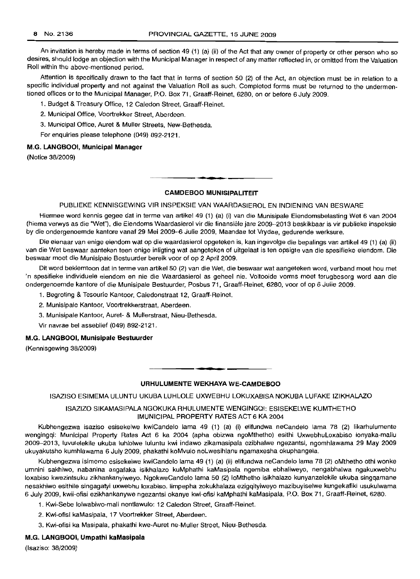An invitation is hereby made in terms of section 49 (1) (a) (ii) of the Act that any owner of property or other person who so desires, should lodge an objection with the Municipal Manager in respect of any matter reflected in, or omitted from the Valuation Roll within the above-mentioned period.

Attention is specifically drawn to the fact that in terms of section 50 (2) of the Act, an objection must be in relation to a specific individual property and not against the Valuation Roll as such. Completed forms must be returned to the undermentioned offices or to the Municipal Manager, P.O. Box 71, Graaff-Reinet, 6280, on or before 6 July 2009.

1. Budget & Treasury Office, 12 Caledon Street, Graaff-Reinet.

2. Municipal Office, Voortrekker Street, Aberdeen.

3. Municipal Office, Auret & Muller Streets, New-Bethesda.

For enquiries please telephone (049) 892-2121.

### M.G. **LANGBOOI, Municipal Manager**

(Notice 38/2009)

# **• CAMDEBOO MUNISIPALITEIT**

PUBLIEKE KENNISGEWING VIR INSPEKSIE VAN WAARDASIEROL EN INDIENING VAN BESWARE

Hiermee word kennis gegee dat in terme van artikel 49 (1) (a) (i) van die Munisipale Eiendomsbelasting Wet 6 van 2004 (hierna verwys as die "Wet"), die Eiendoms Waardasierol vir die finansiele jare 2009-2013 beskikbaar is vir publieke inspeksie by die ondergenoemde kantore vanaf 29 Mei 2009-6 Julie 2009, Maandae tot Vrydae, gedurende werksure.

Die eienaar van enige eiendom wat op die waardasierol opgeteken is, kan ingevolge die bepalings van artikel 49 (1) (a) (ii) van die Wet beswaar aanteken teen enige inligting wat aangeteken of uitgelaat is ten opsigte van die spesifieke eiendom. Die beswaar moet die Munisipale Bestuurder bereik voor of op 2 April 2009.

Dit word beklemtoon dat in terme van artikel 50 (2) van die Wet, die beswaar wat aangeteken word, verband moet hou met 'n spesifieke individuele eiendom en nie die Waardasierol as geheel nie. Voltooide vorms moet terugbesorg word aan die ondergenoemde kantore of die Munisipale Bestuurder, Posbus 71, Graaff-Reinet, 6280, voor of op 6 Julie 2009.

- 1. Begroting & Tesourie Kantoor, Caledonstraat 12, Graaff-Reinet.
- 2. Munisipale Kantoor, Voortrekkerstraat, Aberdeen.
- 3. Munisipale Kantoor, Auret- & Mullerstraat, Nieu-Bethesda.
- Vir navrae bel asseblief (049) 892-2121.

#### M.G. **LANGBOOI, Munisipale Bestuurder**

(Kennisgewing 38/2009)

#### **URHULUMENTE WEKHAYA WE-CAMDEBOO**

**• •**

ISAZISO ESIMEMA ULUNTU UKUBA LUHLOLE UXWEBHU LOKUXABISA NOKUBA LUFAKE IZIKHALAZO

#### ISAZIZO SIKAMASIPALA NGOKUKA RHULUMENTE WENGINGQI: ESISEKELWE KUMTHETHO IMUNICIPAL PROPERTY RATES ACT 6 KA 2004

Kubhengezwa isaziso esisekelwe kwiCandelo lama 49 (1) (a) (i) elifundwa neCandelo lama 78 (2) likarhulumente wengingqi: Municipal Property Rates Act 6 ka 2004 (apha obizwa ngoMthetho) esithi UxwebhuLoxabiso lonyaka-maliu 2009-2013, luvulelekile ukuba luhlolwe luluntu kwi indawo zikamasipala ezibhalwe ngezantsi, ngomhlawama 29 May 2009 ukuyakutsho kumhlawama 6 July 2009, phakathi koMvulo noLwesihlanu ngamaxesha okuphangela.

Kubhengezwa isimemo esisekelwe kwiCandelo lama 49 (1) (a) (ii) elifundwa neCandelo lama 78 (2) oMthetho othi wonke umnini sakhiwo, nabanina angafaka isikhalazo kuMphathi kaMasipala ngemiba ebhaliweyo, nengabhalwa ngakuxwebhu loxabiso kwezintsuku zikhankanyiweyo. NgokweCandelo lama 50 (2) 10Mthetho isikhalazo kunyanzelekile ukuba singqamane nesakhiwo esithile singagatyi uxwebhu loxabiso. limpepha zokukhalaza ezigqityiweyo mazibuyiselwe kungekafiki usukulwama 6 July 2009, kwii-ofisi ezikhankanywe ngezantsi okanye kwi-ofisi kaMphathi kaMasipala, P.O. Box 71, Graaff-Reinet, 6280.

- 1. Kwi-Sebe lolwabiwo-mali nentlawulo: 12 Caledon Street, Graaff-Reinet.
- 2. Kwi-ofisi kaMasipala, 17 Voortrekker Street, Aberdeen.
- 3. Kwi-ofisi ka Masipala, phakathi kwe-Auret ne-Muller Street, Nieu-Bethesda.

#### M.G. **LANGBOOI, Umpathi kaMasipala**

(Isaziso: 38/2009)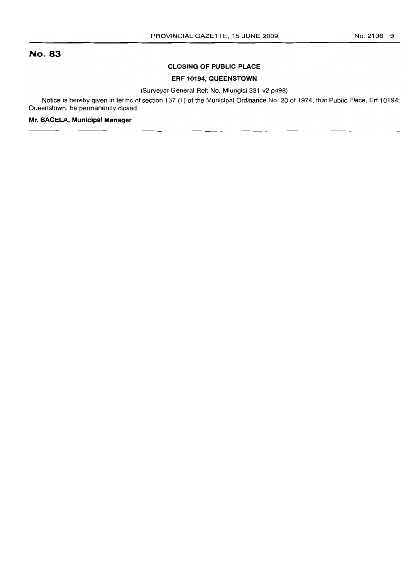# No. 83

#### **CLOSING OF PUBLIC PLACE**

# **ERF 10194, QUEENSTOWN**

(Surveyor General Ref: No. Mlungisi 331 v2 p498)

Notice is hereby given in terms of section 137 (1) of the Municipal Ordinance No. 20 of 1974, that Public Place, Erf 10194: Queenstown, be permanently closed.

#### **Mr. BACELA, Municipal Manager**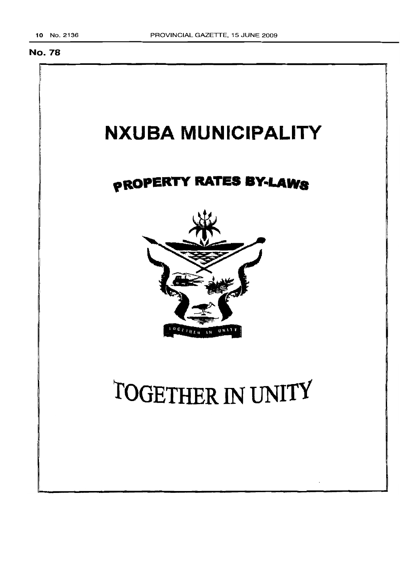# No. 78

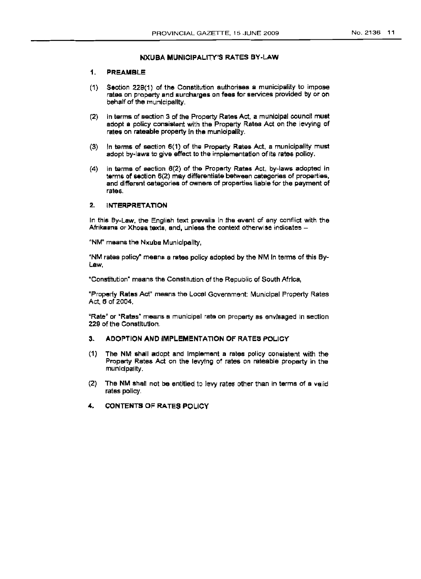#### NXUBA MUNICIPALITY'S RATES BY-LAW

#### 1. PREAMBLE:

- (1) Section 228(1) of the Constitution authorises a municipality to impose rates on property and surcharges on fees for services provided by or on behalf of the municipality.
- (2) In terms of section 3 of the Property Rates Act, a municipal council must adopt a policy consistent with the Property Rates Act on the levying of rates on rateable property in the municipality.
- (3) In terms of section 6(1) of tha Property Rates Act, a municipality must adopt by-laws to give effect to the implementation of Its rates policy.
- (4) In terms of section 6(2) of the Property Rates Act, by-laws adopted In terms of section 6(2) may differentiate between categories of properties, and different cetegories of owners of properties liable for the payment of rates.

### 2. INTERPRETATION

In this By-Law, the English text prevails in the event of any conflict with the Afrikaans or Xhosa texts, and, unless the context otherwise indicates -

"NM" means the Nxuba Municipality,

"NM rates policy" means a rates policy adopted by the NM In terms of this By-Law,

"Constitution" means the Constitution of the Republic of South Africa,

"Property Rates Act" means the Local Government: Municipal Property Rates Act, 6 of 2004,

"Rate" or "Rates" means a municipal rate on property as envisaged in section 229 of the Constitution.

- 3. ADOPTION AND IMPLEMENTATION OF RATES POLICY
- (1) The NM shall adopt and Implement a rates policy consistent with the Property Rates Act on the levying of rates on rateable property in the municipality.
- (2) The NM shall not be entitled to levy rates other than In terms of a valid rates policy.
- 4. CONTENTS OF RATES POLICY